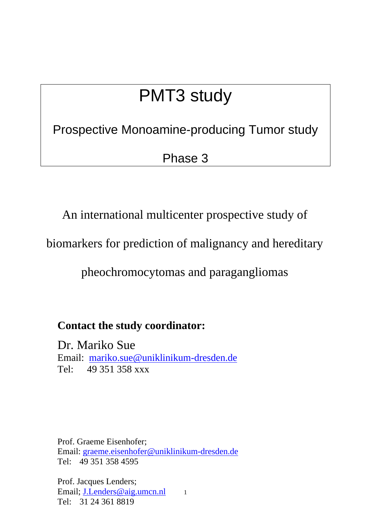# PMT3 study

Prospective Monoamine-producing Tumor study

Phase 3

An international multicenter prospective study of

biomarkers for prediction of malignancy and hereditary

pheochromocytomas and paragangliomas

**Contact the study coordinator:** 

Dr. Mariko Sue Email: mariko.sue@uniklinikum-dresden.de Tel: 49 351 358 xxx

Prof. Graeme Eisenhofer; Email: graeme.eisenhofer@uniklinikum-dresden.de Tel: 49 351 358 4595

1 Prof. Jacques Lenders; Email; J.Lenders@aig.umcn.nl Tel: 31 24 361 8819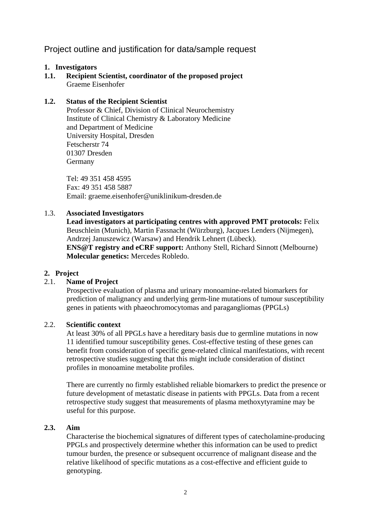## Project outline and justification for data/sample request

## **1. Investigators**

**1.1. Recipient Scientist, coordinator of the proposed project**  Graeme Eisenhofer

## **1.2. Status of the Recipient Scientist**

Professor & Chief, Division of Clinical Neurochemistry Institute of Clinical Chemistry & Laboratory Medicine and Department of Medicine University Hospital, Dresden Fetscherstr 74 01307 Dresden Germany

Tel: 49 351 458 4595 Fax: 49 351 458 5887 Email: graeme.eisenhofer@uniklinikum-dresden.de

## 1.3. **Associated Investigators**

**Lead investigators at participating centres with approved PMT protocols:** Felix Beuschlein (Munich), Martin Fassnacht (Würzburg), Jacques Lenders (Nijmegen), Andrzej Januszewicz (Warsaw) and Hendrik Lehnert (Lübeck). **ENS@T registry and eCRF support:** Anthony Stell, Richard Sinnott (Melbourne) **Molecular genetics:** Mercedes Robledo.

## **2. Project**

## 2.1. **Name of Project**

Prospective evaluation of plasma and urinary monoamine-related biomarkers for prediction of malignancy and underlying germ-line mutations of tumour susceptibility genes in patients with phaeochromocytomas and paragangliomas (PPGLs)

## 2.2. **Scientific context**

At least 30% of all PPGLs have a hereditary basis due to germline mutations in now 11 identified tumour susceptibility genes. Cost-effective testing of these genes can benefit from consideration of specific gene-related clinical manifestations, with recent retrospective studies suggesting that this might include consideration of distinct profiles in monoamine metabolite profiles.

There are currently no firmly established reliable biomarkers to predict the presence or future development of metastatic disease in patients with PPGLs. Data from a recent retrospective study suggest that measurements of plasma methoxytyramine may be useful for this purpose.

## **2.3. Aim**

Characterise the biochemical signatures of different types of catecholamine-producing PPGLs and prospectively determine whether this information can be used to predict tumour burden, the presence or subsequent occurrence of malignant disease and the relative likelihood of specific mutations as a cost-effective and efficient guide to genotyping.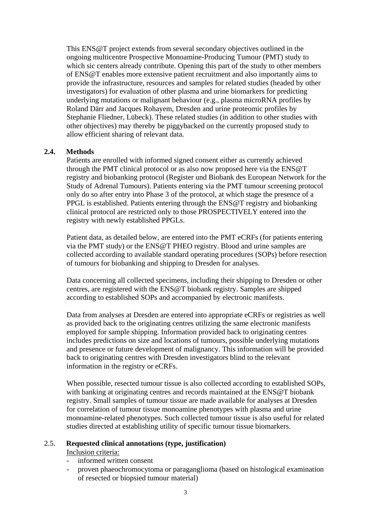This ENS@T project extends from several secondary objectives outlined in the ongoing multicentre Prospective Monoamine-Producing Tumour (PMT) study to which sic centers already contribute. Opening this part of the study to other members of ENS@T enables more extensive patient recruitment and also importantly aims to provide the infrastructure, resources and samples for related studies (headed by other investigators) for evaluation of other plasma and urine biomarkers for predicting underlying mutations or malignant behaviour (e.g., plasma microRNA profiles by Roland Därr and Jacques Rohayem, Dresden and urine proteomic profiles by Stephanie Fliedner, Lübeck). These related studies (in addition to other studies with other objectives) may thereby be piggybacked on the currently proposed study to allow efficient sharing of relevant data.

#### **2.4. Methods**

Patients are enrolled with informed signed consent either as currently achieved through the PMT clinical protocol or as also now proposed here via the ENS@T registry and biobanking protocol (Register und Biobank des European Network for the Study of Adrenal Tumours). Patients entering via the PMT tumour screening protocol only do so after entry into Phase 3 of the protocol, at which stage the presence of a PPGL is established. Patients entering through the ENS@T registry and biobanking clinical protocol are restricted only to those PROSPECTIVELY entered into the registry with newly established PPGLs.

Patient data, as detailed below, are entered into the PMT eCRFs (for patients entering via the PMT study) or the ENS@T PHEO registry. Blood and urine samples are collected according to available standard operating procedures (SOPs) before resection of tumours for biobanking and shipping to Dresden for analyses.

Data concerning all collected specimens, including their shipping to Dresden or other centres, are registered with the ENS@T biobank registry. Samples are shipped according to established SOPs and accompanied by electronic manifests.

Data from analyses at Dresden are entered into appropriate eCRFs or registries as well as provided back to the originating centres utilizing the same electronic manifests employed for sample shipping. Information provided back to originating centres includes predictions on size and locations of tumours, possible underlying mutations and presence or future development of malignancy. This information will be provided back to originating centres with Dresden investigators blind to the relevant information in the registry or eCRFs.

When possible, resected tumour tissue is also collected according to established SOPs, with banking at originating centres and records maintained at the ENS@T biobank registry. Small samples of tumour tissue are made available for analyses at Dresden for correlation of tumour tissue monoamine phenotypes with plasma and urine monoamine-related phenotypes. Such collected tumour tissue is also useful for related studies directed at establishing utility of specific tumour tissue biomarkers.

#### 2.5. **Requested clinical annotations (type, justification)**

Inclusion criteria:

- informed written consent
- proven phaeochromocytoma or paraganglioma (based on histological examination of resected or biopsied tumour material)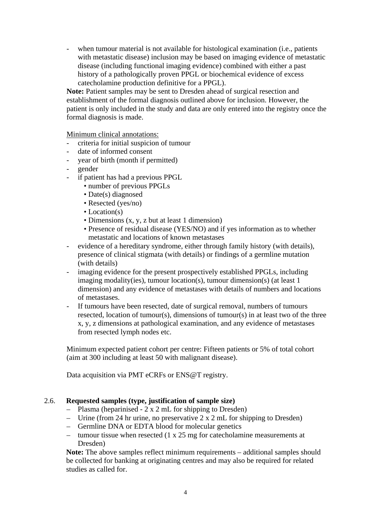- when tumour material is not available for histological examination (i.e., patients with metastatic disease) inclusion may be based on imaging evidence of metastatic disease (including functional imaging evidence) combined with either a past history of a pathologically proven PPGL or biochemical evidence of excess catecholamine production definitive for a PPGL).

**Note:** Patient samples may be sent to Dresden ahead of surgical resection and establishment of the formal diagnosis outlined above for inclusion. However, the patient is only included in the study and data are only entered into the registry once the formal diagnosis is made.

Minimum clinical annotations:

- criteria for initial suspicion of tumour
- date of informed consent
- year of birth (month if permitted)
- gender
- if patient has had a previous PPGL
	- number of previous PPGLs
	- Date(s) diagnosed
	- Resected (yes/no)
	- Location(s)
	- Dimensions (x, y, z but at least 1 dimension)
	- Presence of residual disease (YES/NO) and if yes information as to whether metastatic and locations of known metastases
- evidence of a hereditary syndrome, either through family history (with details), presence of clinical stigmata (with details) or findings of a germline mutation (with details)
- imaging evidence for the present prospectively established PPGLs, including imaging modality(ies), tumour location(s), tumour dimension(s) (at least 1 dimension) and any evidence of metastases with details of numbers and locations of metastases.
- If tumours have been resected, date of surgical removal, numbers of tumours resected, location of tumour(s), dimensions of tumour(s) in at least two of the three x, y, z dimensions at pathological examination, and any evidence of metastases from resected lymph nodes etc.

Minimum expected patient cohort per centre: Fifteen patients or 5% of total cohort (aim at 300 including at least 50 with malignant disease).

Data acquisition via PMT eCRFs or ENS@T registry.

## 2.6. **Requested samples (type, justification of sample size)**

- Plasma (heparinised 2 x 2 mL for shipping to Dresden)
- Urine (from 24 hr urine, no preservative 2 x 2 mL for shipping to Dresden)
- Germline DNA or EDTA blood for molecular genetics
- tumour tissue when resected (1 x 25 mg for catecholamine measurements at Dresden)

**Note:** The above samples reflect minimum requirements – additional samples should be collected for banking at originating centres and may also be required for related studies as called for.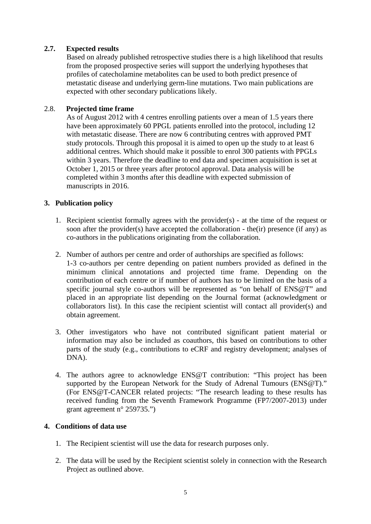## **2.7. Expected results**

Based on already published retrospective studies there is a high likelihood that results from the proposed prospective series will support the underlying hypotheses that profiles of catecholamine metabolites can be used to both predict presence of metastatic disease and underlying germ-line mutations. Two main publications are expected with other secondary publications likely.

## 2.8. **Projected time frame**

As of August 2012 with 4 centres enrolling patients over a mean of 1.5 years there have been approximately 60 PPGL patients enrolled into the protocol, including 12 with metastatic disease. There are now 6 contributing centres with approved PMT study protocols. Through this proposal it is aimed to open up the study to at least 6 additional centres. Which should make it possible to enrol 300 patients with PPGLs within 3 years. Therefore the deadline to end data and specimen acquisition is set at October 1, 2015 or three years after protocol approval. Data analysis will be completed within 3 months after this deadline with expected submission of manuscripts in 2016.

## **3. Publication policy**

- 1. Recipient scientist formally agrees with the provider(s) at the time of the request or soon after the provider(s) have accepted the collaboration - the(ir) presence (if any) as co-authors in the publications originating from the collaboration.
- 2. Number of authors per centre and order of authorships are specified as follows: 1-3 co-authors per centre depending on patient numbers provided as defined in the minimum clinical annotations and projected time frame. Depending on the contribution of each centre or if number of authors has to be limited on the basis of a specific journal style co-authors will be represented as "on behalf of ENS@T" and placed in an appropriate list depending on the Journal format (acknowledgment or collaborators list). In this case the recipient scientist will contact all provider(s) and obtain agreement.
- 3. Other investigators who have not contributed significant patient material or information may also be included as coauthors, this based on contributions to other parts of the study (e.g., contributions to eCRF and registry development; analyses of DNA).
- 4. The authors agree to acknowledge ENS@T contribution: "This project has been supported by the European Network for the Study of Adrenal Tumours (ENS@T)." (For ENS@T-CANCER related projects: "The research leading to these results has received funding from the Seventh Framework Programme (FP7/2007-2013) under grant agreement n° 259735.")

## **4. Conditions of data use**

- 1. The Recipient scientist will use the data for research purposes only.
- 2. The data will be used by the Recipient scientist solely in connection with the Research Project as outlined above.